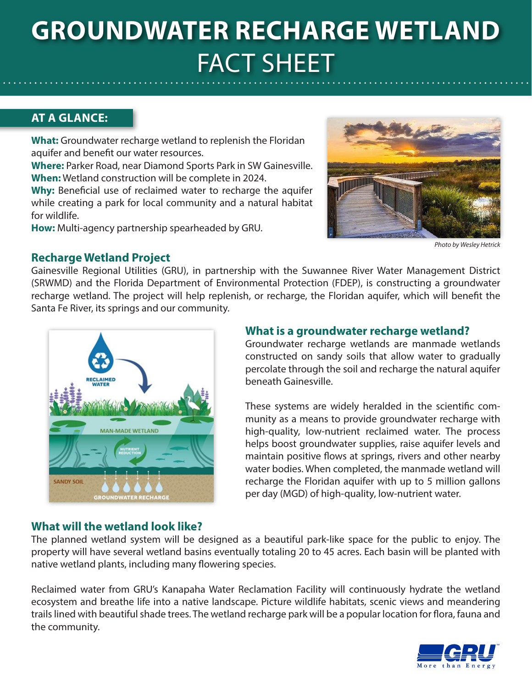# **GROUNDWATER RECHARGE WETLAND** FACT SHEET

## **AT A GLANCE:**

**What:** Groundwater recharge wetland to replenish the Floridan aquifer and benefit our water resources.

**Where:** Parker Road, near Diamond Sports Park in SW Gainesville. **When:** Wetland construction will be complete in 2024.

**Why:** Beneficial use of reclaimed water to recharge the aquifer while creating a park for local community and a natural habitat for wildlife.

**How:** Multi-agency partnership spearheaded by GRU.



*Photo by Wesley Hetrick*

### **Recharge Wetland Project**

Gainesville Regional Utilities (GRU), in partnership with the Suwannee River Water Management District (SRWMD) and the Florida Department of Environmental Protection (FDEP), is constructing a groundwater recharge wetland. The project will help replenish, or recharge, the Floridan aquifer, which will benefit the Santa Fe River, its springs and our community.



### **What is a groundwater recharge wetland?**

Groundwater recharge wetlands are manmade wetlands constructed on sandy soils that allow water to gradually percolate through the soil and recharge the natural aquifer beneath Gainesville.

These systems are widely heralded in the scientific community as a means to provide groundwater recharge with high-quality, low-nutrient reclaimed water. The process helps boost groundwater supplies, raise aquifer levels and maintain positive flows at springs, rivers and other nearby water bodies. When completed, the manmade wetland will recharge the Floridan aquifer with up to 5 million gallons per day (MGD) of high-quality, low-nutrient water.

### **What will the wetland look like?**

The planned wetland system will be designed as a beautiful park-like space for the public to enjoy. The property will have several wetland basins eventually totaling 20 to 45 acres. Each basin will be planted with native wetland plants, including many flowering species.

Reclaimed water from GRU's Kanapaha Water Reclamation Facility will continuously hydrate the wetland ecosystem and breathe life into a native landscape. Picture wildlife habitats, scenic views and meandering trails lined with beautiful shade trees. The wetland recharge park will be a popular location for flora, fauna and the community.